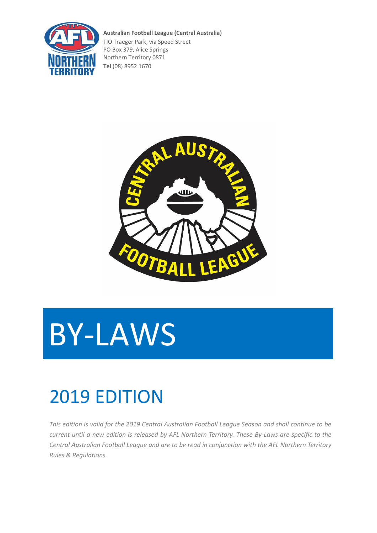

**Australian Football League (Central Australia)**

TIO Traeger Park, via Speed Street PO Box 379, Alice Springs Northern Territory 0871 **Tel** (08) 8952 1670



# BY-LAWS

# 2019 EDITION

*This edition is valid for the 2019 Central Australian Football League Season and shall continue to be current until a new edition is released by AFL Northern Territory. These By-Laws are specific to the Central Australian Football League and are to be read in conjunction with the AFL Northern Territory Rules & Regulations.*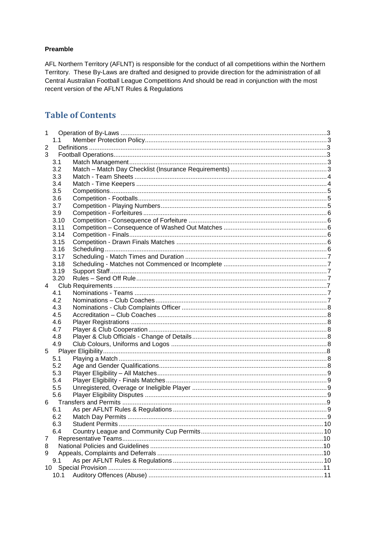#### Preamble

AFL Northern Territory (AFLNT) is responsible for the conduct of all competitions within the Northern Territory. These By-Laws are drafted and designed to provide direction for the administration of all Central Australian Football League Competitions And should be read in conjunction with the most recent version of the AFLNT Rules & Regulations

# **Table of Contents**

| 1  |      |  |  |  |  |  |
|----|------|--|--|--|--|--|
|    | 1.1  |  |  |  |  |  |
| 2  |      |  |  |  |  |  |
| 3  |      |  |  |  |  |  |
|    | 3.1  |  |  |  |  |  |
|    | 3.2  |  |  |  |  |  |
|    | 3.3  |  |  |  |  |  |
|    | 3.4  |  |  |  |  |  |
|    | 3.5  |  |  |  |  |  |
|    | 3.6  |  |  |  |  |  |
|    | 3.7  |  |  |  |  |  |
|    | 3.9  |  |  |  |  |  |
|    | 3.10 |  |  |  |  |  |
|    | 3.11 |  |  |  |  |  |
|    | 3.14 |  |  |  |  |  |
|    | 3.15 |  |  |  |  |  |
|    | 3.16 |  |  |  |  |  |
|    | 3.17 |  |  |  |  |  |
|    | 3.18 |  |  |  |  |  |
|    | 3.19 |  |  |  |  |  |
|    | 3.20 |  |  |  |  |  |
| 4  |      |  |  |  |  |  |
|    | 4.1  |  |  |  |  |  |
|    | 4.2  |  |  |  |  |  |
|    | 4.3  |  |  |  |  |  |
|    | 4.5  |  |  |  |  |  |
|    | 4.6  |  |  |  |  |  |
|    | 4.7  |  |  |  |  |  |
|    | 4.8  |  |  |  |  |  |
|    | 4.9  |  |  |  |  |  |
| 5  |      |  |  |  |  |  |
|    | 5.1  |  |  |  |  |  |
|    | 5.2  |  |  |  |  |  |
|    | 5.3  |  |  |  |  |  |
|    | 5.4  |  |  |  |  |  |
|    | 5.5  |  |  |  |  |  |
|    | 5.6  |  |  |  |  |  |
| 6  |      |  |  |  |  |  |
|    | 6.1  |  |  |  |  |  |
|    | 6.2  |  |  |  |  |  |
|    | 6.3  |  |  |  |  |  |
|    | 6.4  |  |  |  |  |  |
| 7  |      |  |  |  |  |  |
| 8  |      |  |  |  |  |  |
| 9  |      |  |  |  |  |  |
|    | 9.1  |  |  |  |  |  |
| 10 |      |  |  |  |  |  |
|    | 10.1 |  |  |  |  |  |
|    |      |  |  |  |  |  |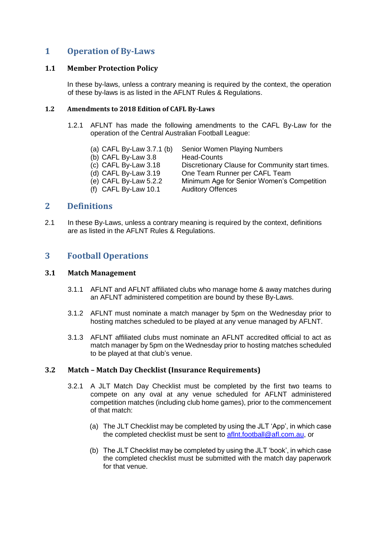# <span id="page-2-0"></span>**1 Operation of By-Laws**

#### <span id="page-2-1"></span>**1.1 Member Protection Policy**

In these by-laws, unless a contrary meaning is required by the context, the operation of these by-laws is as listed in the AFLNT Rules & Regulations.

#### **1.2 Amendments to 2018 Edition of CAFL By-Laws**

- 1.2.1 AFLNT has made the following amendments to the CAFL By-Law for the operation of the Central Australian Football League:
	- (a) CAFL By-Law 3.7.1 (b) Senior Women Playing Numbers (b) CAFL By-Law 3.8 Head-Counts<br>(c) CAFL By-Law 3.18 Discretionary Discretionary Clause for Community start times. (d) CAFL By-Law 3.19 One Team Runner per CAFL Team (e) CAFL By-Law 5.2.2 Minimum Age for Senior Women's Competition (f) CAFL By-Law 10.1 Auditory Offences

# <span id="page-2-2"></span>**2 Definitions**

2.1 In these By-Laws, unless a contrary meaning is required by the context, definitions are as listed in the AFLNT Rules & Regulations.

# <span id="page-2-3"></span>**3 Football Operations**

#### <span id="page-2-4"></span>**3.1 Match Management**

- 3.1.1 AFLNT and AFLNT affiliated clubs who manage home & away matches during an AFLNT administered competition are bound by these By-Laws.
- 3.1.2 AFLNT must nominate a match manager by 5pm on the Wednesday prior to hosting matches scheduled to be played at any venue managed by AFLNT.
- 3.1.3 AFLNT affiliated clubs must nominate an AFLNT accredited official to act as match manager by 5pm on the Wednesday prior to hosting matches scheduled to be played at that club's venue.

#### <span id="page-2-5"></span>**3.2 Match – Match Day Checklist (Insurance Requirements)**

- 3.2.1 A JLT Match Day Checklist must be completed by the first two teams to compete on any oval at any venue scheduled for AFLNT administered competition matches (including club home games), prior to the commencement of that match:
	- (a) The JLT Checklist may be completed by using the JLT 'App', in which case the completed checklist must be sent to [aflnt.football@afl.com.au,](mailto:aflnt.football@afl.com.au) or
	- (b) The JLT Checklist may be completed by using the JLT 'book', in which case the completed checklist must be submitted with the match day paperwork for that venue.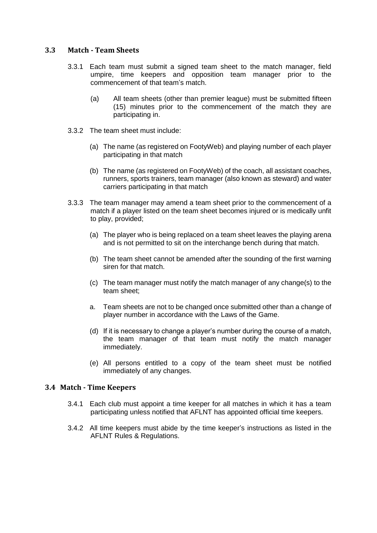#### <span id="page-3-0"></span>**3.3 Match - Team Sheets**

- 3.3.1 Each team must submit a signed team sheet to the match manager, field umpire, time keepers and opposition team manager prior to the commencement of that team's match.
	- (a) All team sheets (other than premier league) must be submitted fifteen (15) minutes prior to the commencement of the match they are participating in.
- 3.3.2 The team sheet must include:
	- (a) The name (as registered on FootyWeb) and playing number of each player participating in that match
	- (b) The name (as registered on FootyWeb) of the coach, all assistant coaches, runners, sports trainers, team manager (also known as steward) and water carriers participating in that match
- 3.3.3 The team manager may amend a team sheet prior to the commencement of a match if a player listed on the team sheet becomes injured or is medically unfit to play, provided;
	- (a) The player who is being replaced on a team sheet leaves the playing arena and is not permitted to sit on the interchange bench during that match.
	- (b) The team sheet cannot be amended after the sounding of the first warning siren for that match.
	- (c) The team manager must notify the match manager of any change(s) to the team sheet;
	- a. Team sheets are not to be changed once submitted other than a change of player number in accordance with the Laws of the Game.
	- (d) If it is necessary to change a player's number during the course of a match, the team manager of that team must notify the match manager immediately.
	- (e) All persons entitled to a copy of the team sheet must be notified immediately of any changes.

#### <span id="page-3-1"></span>**3.4 Match - Time Keepers**

- 3.4.1 Each club must appoint a time keeper for all matches in which it has a team participating unless notified that AFLNT has appointed official time keepers.
- 3.4.2 All time keepers must abide by the time keeper's instructions as listed in the AFLNT Rules & Regulations.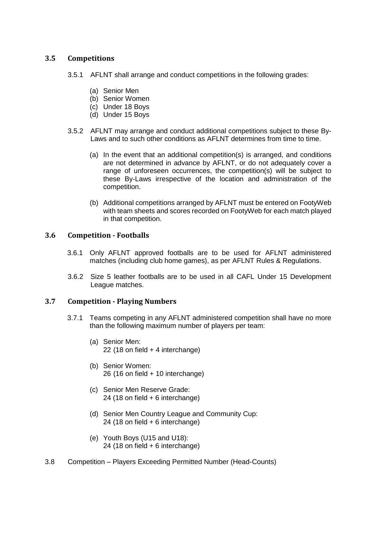#### <span id="page-4-0"></span>**3.5 Competitions**

- 3.5.1 AFLNT shall arrange and conduct competitions in the following grades:
	- (a) Senior Men
	- (b) Senior Women
	- (c) Under 18 Boys
	- (d) Under 15 Boys
- 3.5.2 AFLNT may arrange and conduct additional competitions subject to these By-Laws and to such other conditions as AFLNT determines from time to time.
	- (a) In the event that an additional competition(s) is arranged, and conditions are not determined in advance by AFLNT, or do not adequately cover a range of unforeseen occurrences, the competition(s) will be subject to these By-Laws irrespective of the location and administration of the competition.
	- (b) Additional competitions arranged by AFLNT must be entered on FootyWeb with team sheets and scores recorded on FootyWeb for each match played in that competition.

#### <span id="page-4-1"></span>**3.6 Competition - Footballs**

- 3.6.1 Only AFLNT approved footballs are to be used for AFLNT administered matches (including club home games), as per AFLNT Rules & Regulations.
- 3.6.2 Size 5 leather footballs are to be used in all CAFL Under 15 Development League matches.

#### <span id="page-4-2"></span>**3.7 Competition - Playing Numbers**

- 3.7.1 Teams competing in any AFLNT administered competition shall have no more than the following maximum number of players per team:
	- (a) Senior Men: 22 (18 on field + 4 interchange)
	- (b) Senior Women: 26 (16 on field + 10 interchange)
	- (c) Senior Men Reserve Grade: 24 (18 on field + 6 interchange)
	- (d) Senior Men Country League and Community Cup: 24 (18 on field + 6 interchange)
	- (e) Youth Boys (U15 and U18): 24 (18 on field + 6 interchange)
- 3.8 Competition Players Exceeding Permitted Number (Head-Counts)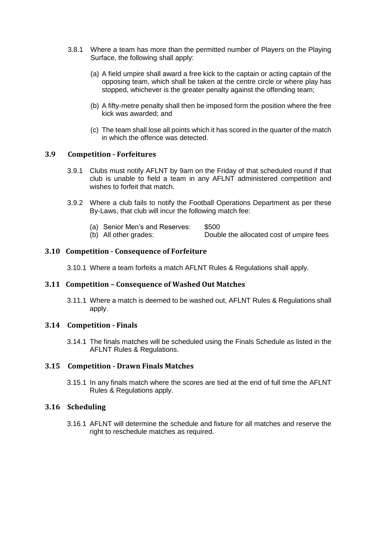- 3.8.1 Where a team has more than the permitted number of Players on the Playing Surface, the following shall apply:
	- (a) A field umpire shall award a free kick to the captain or acting captain of the opposing team, which shall be taken at the centre circle or where play has stopped, whichever is the greater penalty against the offending team;
	- (b) A fifty-metre penalty shall then be imposed form the position where the free kick was awarded; and
	- (c) The team shall lose all points which it has scored in the quarter of the match in which the offence was detected.

#### <span id="page-5-0"></span>**3.9 Competition - Forfeitures**

- 3.9.1 Clubs must notify AFLNT by 9am on the Friday of that scheduled round if that club is unable to field a team in any AFLNT administered competition and wishes to forfeit that match.
- 3.9.2 Where a club fails to notify the Football Operations Department as per these By-Laws, that club will incur the following match fee:
	- (a) Senior Men's and Reserves: \$500
	- (b) All other grades: Double the allocated cost of umpire fees

#### <span id="page-5-1"></span>**3.10 Competition - Consequence of Forfeiture**

3.10.1 Where a team forfeits a match AFLNT Rules & Regulations shall apply.

#### <span id="page-5-2"></span>**3.11 Competition – Consequence of Washed Out Matches**

3.11.1 Where a match is deemed to be washed out, AFLNT Rules & Regulations shall apply.

#### <span id="page-5-3"></span>**3.14 Competition - Finals**

3.14.1 The finals matches will be scheduled using the Finals Schedule as listed in the AFLNT Rules & Regulations.

#### <span id="page-5-4"></span>**3.15 Competition - Drawn Finals Matches**

3.15.1 In any finals match where the scores are tied at the end of full time the AFLNT Rules & Regulations apply.

#### <span id="page-5-5"></span>**3.16 Scheduling**

3.16.1 AFLNT will determine the schedule and fixture for all matches and reserve the right to reschedule matches as required.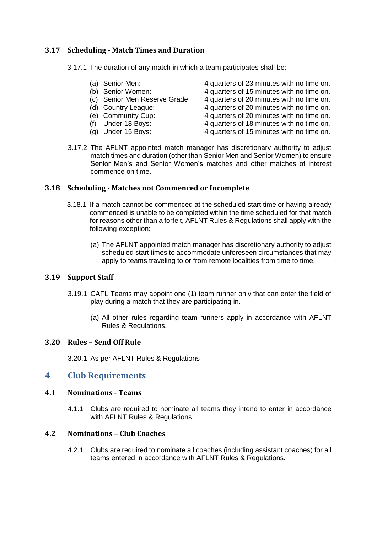#### <span id="page-6-0"></span>**3.17 Scheduling - Match Times and Duration**

- 3.17.1 The duration of any match in which a team participates shall be:
	-
	-
	- (c) Senior Men Reserve Grade: 4 quarters of 20 minutes with no time on.
	-
	-
	-
	-

(a) Senior Men: 4 quarters of 23 minutes with no time on.

- (b) Senior Women: 4 quarters of 15 minutes with no time on.
- (d) Country League: 4 quarters of 20 minutes with no time on.
- (e) Community Cup: 4 quarters of 20 minutes with no time on.<br>
(f) Under 18 Boys: 4 quarters of 18 minutes with no time on.
	- 4 quarters of 18 minutes with no time on.
- (g) Under 15 Boys: 4 quarters of 15 minutes with no time on.
- 3.17.2 The AFLNT appointed match manager has discretionary authority to adjust match times and duration (other than Senior Men and Senior Women) to ensure Senior Men's and Senior Women's matches and other matches of interest commence on time.

#### <span id="page-6-1"></span>**3.18 Scheduling - Matches not Commenced or Incomplete**

- 3.18.1 If a match cannot be commenced at the scheduled start time or having already commenced is unable to be completed within the time scheduled for that match for reasons other than a forfeit, AFLNT Rules & Regulations shall apply with the following exception:
	- (a) The AFLNT appointed match manager has discretionary authority to adjust scheduled start times to accommodate unforeseen circumstances that may apply to teams traveling to or from remote localities from time to time.

#### <span id="page-6-2"></span>**3.19 Support Staff**

- 3.19.1 CAFL Teams may appoint one (1) team runner only that can enter the field of play during a match that they are participating in.
	- (a) All other rules regarding team runners apply in accordance with AFLNT Rules & Regulations.

#### <span id="page-6-3"></span>**3.20 Rules – Send Off Rule**

3.20.1 As per AFLNT Rules & Regulations

#### <span id="page-6-4"></span>**4 Club Requirements**

#### <span id="page-6-5"></span>**4.1 Nominations - Teams**

4.1.1 Clubs are required to nominate all teams they intend to enter in accordance with AFLNT Rules & Regulations.

#### <span id="page-6-6"></span>**4.2 Nominations – Club Coaches**

4.2.1 Clubs are required to nominate all coaches (including assistant coaches) for all teams entered in accordance with AFLNT Rules & Regulations.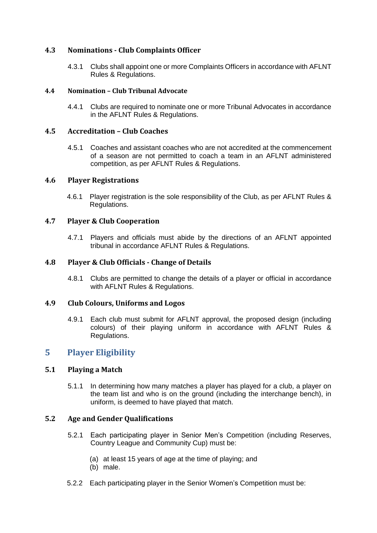#### <span id="page-7-0"></span>**4.3 Nominations - Club Complaints Officer**

4.3.1 Clubs shall appoint one or more Complaints Officers in accordance with AFLNT Rules & Regulations.

#### **4.4 Nomination – Club Tribunal Advocate**

4.4.1 Clubs are required to nominate one or more Tribunal Advocates in accordance in the AFLNT Rules & Regulations.

#### <span id="page-7-1"></span>**4.5 Accreditation – Club Coaches**

4.5.1 Coaches and assistant coaches who are not accredited at the commencement of a season are not permitted to coach a team in an AFLNT administered competition, as per AFLNT Rules & Regulations.

#### <span id="page-7-2"></span>**4.6 Player Registrations**

4.6.1 Player registration is the sole responsibility of the Club, as per AFLNT Rules & Regulations.

#### <span id="page-7-3"></span>**4.7 Player & Club Cooperation**

4.7.1 Players and officials must abide by the directions of an AFLNT appointed tribunal in accordance AFLNT Rules & Regulations.

#### <span id="page-7-4"></span>**4.8 Player & Club Officials - Change of Details**

4.8.1 Clubs are permitted to change the details of a player or official in accordance with AFLNT Rules & Regulations.

#### <span id="page-7-5"></span>**4.9 Club Colours, Uniforms and Logos**

4.9.1 Each club must submit for AFLNT approval, the proposed design (including colours) of their playing uniform in accordance with AFLNT Rules & Regulations.

# <span id="page-7-6"></span>**5 Player Eligibility**

#### <span id="page-7-7"></span>**5.1 Playing a Match**

5.1.1 In determining how many matches a player has played for a club, a player on the team list and who is on the ground (including the interchange bench), in uniform, is deemed to have played that match.

#### <span id="page-7-8"></span>**5.2 Age and Gender Qualifications**

- 5.2.1 Each participating player in Senior Men's Competition (including Reserves, Country League and Community Cup) must be:
	- (a) at least 15 years of age at the time of playing; and
	- (b) male.
- 5.2.2 Each participating player in the Senior Women's Competition must be: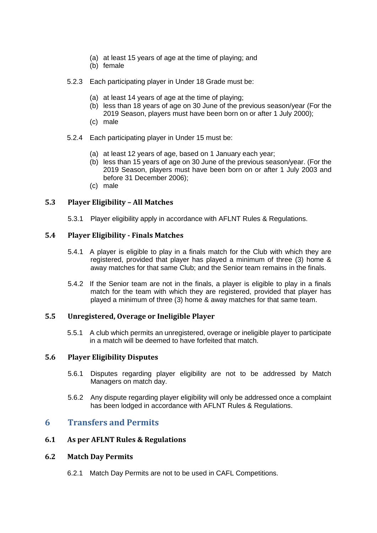- (a) at least 15 years of age at the time of playing; and
- (b) female
- 5.2.3 Each participating player in Under 18 Grade must be:
	- (a) at least 14 years of age at the time of playing;
	- (b) less than 18 years of age on 30 June of the previous season/year (For the 2019 Season, players must have been born on or after 1 July 2000);
	- (c) male
- 5.2.4 Each participating player in Under 15 must be:
	- (a) at least 12 years of age, based on 1 January each year;
	- (b) less than 15 years of age on 30 June of the previous season/year. (For the 2019 Season, players must have been born on or after 1 July 2003 and before 31 December 2006);
	- (c) male

#### <span id="page-8-0"></span>**5.3 Player Eligibility – All Matches**

5.3.1 Player eligibility apply in accordance with AFLNT Rules & Regulations.

#### <span id="page-8-1"></span>**5.4 Player Eligibility - Finals Matches**

- 5.4.1 A player is eligible to play in a finals match for the Club with which they are registered, provided that player has played a minimum of three (3) home & away matches for that same Club; and the Senior team remains in the finals.
- 5.4.2 If the Senior team are not in the finals, a player is eligible to play in a finals match for the team with which they are registered, provided that player has played a minimum of three (3) home & away matches for that same team.

#### <span id="page-8-2"></span>**5.5 Unregistered, Overage or Ineligible Player**

5.5.1 A club which permits an unregistered, overage or ineligible player to participate in a match will be deemed to have forfeited that match.

#### <span id="page-8-3"></span>**5.6 Player Eligibility Disputes**

- 5.6.1 Disputes regarding player eligibility are not to be addressed by Match Managers on match day.
- 5.6.2 Any dispute regarding player eligibility will only be addressed once a complaint has been lodged in accordance with AFLNT Rules & Regulations.

## <span id="page-8-4"></span>**6 Transfers and Permits**

#### <span id="page-8-5"></span>**6.1 As per AFLNT Rules & Regulations**

#### <span id="page-8-6"></span>**6.2 Match Day Permits**

6.2.1 Match Day Permits are not to be used in CAFL Competitions.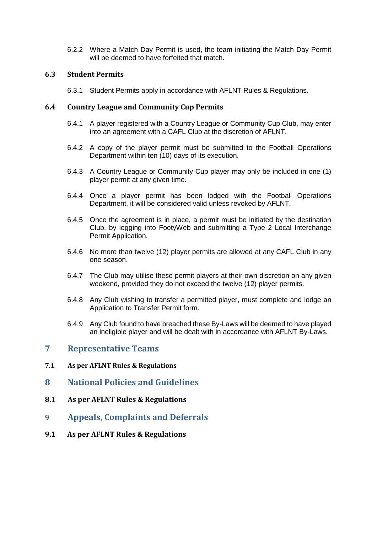6.2.2 Where a Match Day Permit is used, the team initiating the Match Day Permit will be deemed to have forfeited that match.

#### <span id="page-9-0"></span>**6.3 Student Permits**

6.3.1 Student Permits apply in accordance with AFLNT Rules & Regulations.

#### <span id="page-9-1"></span>**6.4 Country League and Community Cup Permits**

- 6.4.1 A player registered with a Country League or Community Cup Club, may enter into an agreement with a CAFL Club at the discretion of AFLNT.
- 6.4.2 A copy of the player permit must be submitted to the Football Operations Department within ten (10) days of its execution.
- 6.4.3 A Country League or Community Cup player may only be included in one (1) player permit at any given time.
- 6.4.4 Once a player permit has been lodged with the Football Operations Department, it will be considered valid unless revoked by AFLNT.
- 6.4.5 Once the agreement is in place, a permit must be initiated by the destination Club, by logging into FootyWeb and submitting a Type 2 Local Interchange Permit Application.
- 6.4.6 No more than twelve (12) player permits are allowed at any CAFL Club in any one season.
- 6.4.7 The Club may utilise these permit players at their own discretion on any given weekend, provided they do not exceed the twelve (12) player permits.
- 6.4.8 Any Club wishing to transfer a permitted player, must complete and lodge an Application to Transfer Permit form.
- 6.4.9 Any Club found to have breached these By-Laws will be deemed to have played an ineligible player and will be dealt with in accordance with AFLNT By-Laws.

## <span id="page-9-2"></span>**7 Representative Teams**

- <span id="page-9-3"></span>**7.1 As per AFLNT Rules & Regulations**
- **8 National Policies and Guidelines**
- <span id="page-9-4"></span>**8.1 As per AFLNT Rules & Regulations**
- **9 Appeals, Complaints and Deferrals**
- <span id="page-9-5"></span>**9.1 As per AFLNT Rules & Regulations**